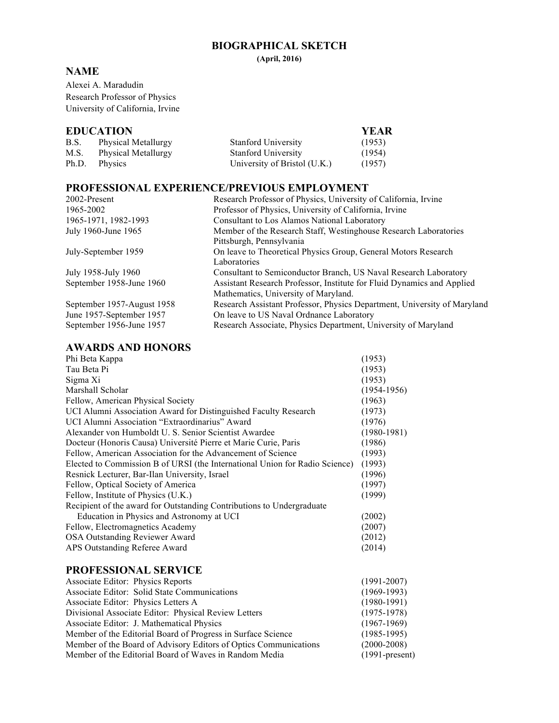## **BIOGRAPHICAL SKETCH**

**(April, 2016)**

## **NAME**

Alexei A. Maradudin Research Professor of Physics University of California, Irvine

## **EDUCATION YEAR**

| EDUCATION |                     |                              | .      |
|-----------|---------------------|------------------------------|--------|
| B.S.      | Physical Metallurgy | <b>Stanford University</b>   | (1953) |
| M.S.      | Physical Metallurgy | <b>Stanford University</b>   | (1954) |
| Ph.D.     | Physics             | University of Bristol (U.K.) | (1957) |
|           |                     |                              |        |

# **PROFESSIONAL EXPERIENCE/PREVIOUS EMPLOYMENT**

| 2002-Present               | Research Professor of Physics, University of California, Irvine          |
|----------------------------|--------------------------------------------------------------------------|
| 1965-2002                  | Professor of Physics, University of California, Irvine                   |
| 1965-1971, 1982-1993       | Consultant to Los Alamos National Laboratory                             |
| July 1960-June 1965        | Member of the Research Staff, Westinghouse Research Laboratories         |
|                            | Pittsburgh, Pennsylvania                                                 |
| July-September 1959        | On leave to Theoretical Physics Group, General Motors Research           |
|                            | Laboratories                                                             |
| July 1958-July 1960        | Consultant to Semiconductor Branch, US Naval Research Laboratory         |
| September 1958-June 1960   | Assistant Research Professor, Institute for Fluid Dynamics and Applied   |
|                            | Mathematics, University of Maryland.                                     |
| September 1957-August 1958 | Research Assistant Professor, Physics Department, University of Maryland |
| June 1957-September 1957   | On leave to US Naval Ordnance Laboratory                                 |
| September 1956-June 1957   | Research Associate, Physics Department, University of Maryland           |

# **AWARDS AND HONORS**

| Phi Beta Kappa                                                              | (1953)           |
|-----------------------------------------------------------------------------|------------------|
| Tau Beta Pi                                                                 | (1953)           |
| Sigma Xi                                                                    | (1953)           |
| Marshall Scholar                                                            | $(1954 - 1956)$  |
| Fellow, American Physical Society                                           | (1963)           |
| UCI Alumni Association Award for Distinguished Faculty Research             | (1973)           |
| UCI Alumni Association "Extraordinarius" Award                              | (1976)           |
| Alexander von Humboldt U. S. Senior Scientist Awardee                       | $(1980 - 1981)$  |
| Docteur (Honoris Causa) Université Pierre et Marie Curie, Paris             | (1986)           |
| Fellow, American Association for the Advancement of Science                 | (1993)           |
| Elected to Commission B of URSI (the International Union for Radio Science) | (1993)           |
| Resnick Lecturer, Bar-Ilan University, Israel                               | (1996)           |
| Fellow, Optical Society of America                                          | (1997)           |
| Fellow, Institute of Physics (U.K.)                                         | (1999)           |
| Recipient of the award for Outstanding Contributions to Undergraduate       |                  |
| Education in Physics and Astronomy at UCI                                   | (2002)           |
| Fellow, Electromagnetics Academy                                            | (2007)           |
| <b>OSA Outstanding Reviewer Award</b>                                       | (2012)           |
| APS Outstanding Referee Award                                               | (2014)           |
|                                                                             |                  |
| <b>PROFESSIONAL SERVICE</b>                                                 |                  |
| <b>Associate Editor: Physics Reports</b>                                    | $(1991 - 2007)$  |
| Associate Editor: Solid State Communications                                | $(1969-1993)$    |
| Associate Editor: Physics Letters A                                         | $(1980 - 1991)$  |
| Divisional Associate Editor: Physical Review Letters                        | $(1975 - 1978)$  |
| Associate Editor: J. Mathematical Physics                                   | $(1967-1969)$    |
| Member of the Editorial Board of Progress in Surface Science                | $(1985 - 1995)$  |
| Member of the Board of Advisory Editors of Optics Communications            | $(2000 - 2008)$  |
| Member of the Editorial Board of Waves in Random Media                      | $(1991-present)$ |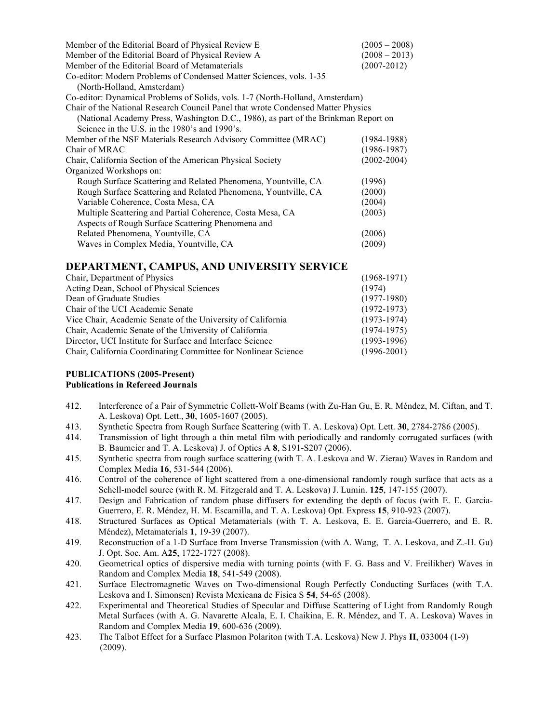| Member of the Editorial Board of Physical Review E                                 | $(2005 - 2008)$ |  |  |  |
|------------------------------------------------------------------------------------|-----------------|--|--|--|
| Member of the Editorial Board of Physical Review A                                 | $(2008 - 2013)$ |  |  |  |
| Member of the Editorial Board of Metamaterials                                     | $(2007 - 2012)$ |  |  |  |
| Co-editor: Modern Problems of Condensed Matter Sciences, vols. 1-35                |                 |  |  |  |
| (North-Holland, Amsterdam)                                                         |                 |  |  |  |
| Co-editor: Dynamical Problems of Solids, vols. 1-7 (North-Holland, Amsterdam)      |                 |  |  |  |
| Chair of the National Research Council Panel that wrote Condensed Matter Physics   |                 |  |  |  |
| (National Academy Press, Washington D.C., 1986), as part of the Brinkman Report on |                 |  |  |  |
| Science in the U.S. in the $1980$ 's and $1990$ 's.                                |                 |  |  |  |
| Member of the NSF Materials Research Advisory Committee (MRAC)                     | $(1984 - 1988)$ |  |  |  |
| Chair of MRAC                                                                      | $(1986 - 1987)$ |  |  |  |
| Chair, California Section of the American Physical Society                         | $(2002 - 2004)$ |  |  |  |
| Organized Workshops on:                                                            |                 |  |  |  |
| Rough Surface Scattering and Related Phenomena, Yountville, CA                     | (1996)          |  |  |  |
| Rough Surface Scattering and Related Phenomena, Yountville, CA                     | (2000)          |  |  |  |
| Variable Coherence, Costa Mesa, CA                                                 | (2004)          |  |  |  |
| Multiple Scattering and Partial Coherence, Costa Mesa, CA                          | (2003)          |  |  |  |
| Aspects of Rough Surface Scattering Phenomena and                                  |                 |  |  |  |
| Related Phenomena, Yountville, CA                                                  | (2006)          |  |  |  |
| Waves in Complex Media, Yountville, CA                                             | (2009)          |  |  |  |

### **DEPARTMENT, CAMPUS, AND UNIVERSITY SERVICE**

| Chair, Department of Physics                                   | $(1968-1971)$   |
|----------------------------------------------------------------|-----------------|
| Acting Dean, School of Physical Sciences                       | (1974)          |
| Dean of Graduate Studies                                       | $(1977-1980)$   |
| Chair of the UCI Academic Senate                               | $(1972 - 1973)$ |
| Vice Chair, Academic Senate of the University of California    | $(1973-1974)$   |
| Chair, Academic Senate of the University of California         | $(1974-1975)$   |
| Director, UCI Institute for Surface and Interface Science      | $(1993-1996)$   |
| Chair, California Coordinating Committee for Nonlinear Science | $(1996 - 2001)$ |

#### **PUBLICATIONS (2005-Present) Publications in Refereed Journals**

- 412. Interference of a Pair of Symmetric Collett-Wolf Beams (with Zu-Han Gu, E. R. Méndez, M. Ciftan, and T. A. Leskova) Opt. Lett., **30**, 1605-1607 (2005).
- 413. Synthetic Spectra from Rough Surface Scattering (with T. A. Leskova) Opt. Lett. **30**, 2784-2786 (2005).
- 414. Transmission of light through a thin metal film with periodically and randomly corrugated surfaces (with B. Baumeier and T. A. Leskova) J. of Optics A **8**, S191-S207 (2006).
- 415. Synthetic spectra from rough surface scattering (with T. A. Leskova and W. Zierau) Waves in Random and Complex Media **16**, 531-544 (2006).
- 416. Control of the coherence of light scattered from a one-dimensional randomly rough surface that acts as a Schell-model source (with R. M. Fitzgerald and T. A. Leskova) J. Lumin. **125**, 147-155 (2007).
- 417. Design and Fabrication of random phase diffusers for extending the depth of focus (with E. E. Garcia-Guerrero, E. R. Méndez, H. M. Escamilla, and T. A. Leskova) Opt. Express **15**, 910-923 (2007).
- 418. Structured Surfaces as Optical Metamaterials (with T. A. Leskova, E. E. Garcia-Guerrero, and E. R. Méndez), Metamaterials **1**, 19-39 (2007).
- 419. Reconstruction of a 1-D Surface from Inverse Transmission (with A. Wang, T. A. Leskova, and Z.-H. Gu) J. Opt. Soc. Am. A**25**, 1722-1727 (2008).
- 420. Geometrical optics of dispersive media with turning points (with F. G. Bass and V. Freilikher) Waves in Random and Complex Media **18**, 541-549 (2008).
- 421. Surface Electromagnetic Waves on Two-dimensional Rough Perfectly Conducting Surfaces (with T.A. Leskova and I. Simonsen) Revista Mexicana de Fisica S **54**, 54-65 (2008).
- 422. Experimental and Theoretical Studies of Specular and Diffuse Scattering of Light from Randomly Rough Metal Surfaces (with A. G. Navarette Alcala, E. I. Chaikina, E. R. Méndez, and T. A. Leskova) Waves in Random and Complex Media **19**, 600-636 (2009).
- 423. The Talbot Effect for a Surface Plasmon Polariton (with T.A. Leskova) New J. Phys **II**, 033004 (1-9) (2009).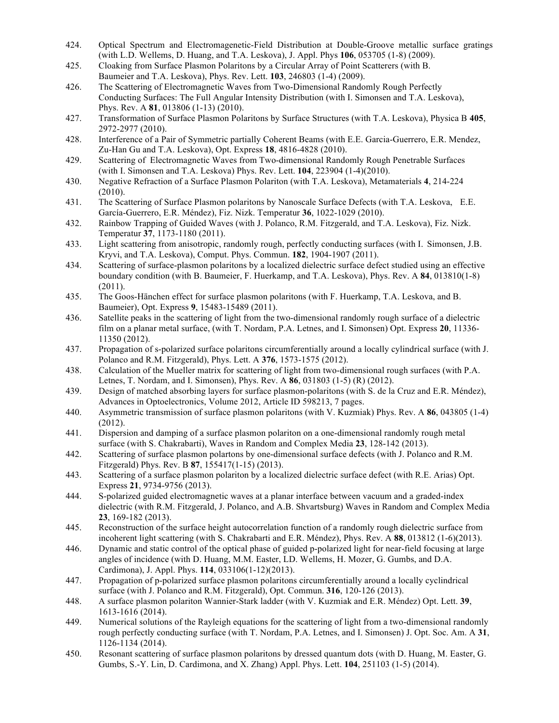- 424. Optical Spectrum and Electromagenetic-Field Distribution at Double-Groove metallic surface gratings (with L.D. Wellems, D. Huang, and T.A. Leskova), J. Appl. Phys **106**, 053705 (1-8) (2009).
- 425. Cloaking from Surface Plasmon Polaritons by a Circular Array of Point Scatterers (with B. Baumeier and T.A. Leskova), Phys. Rev. Lett. **103**, 246803 (1-4) (2009).
- 426. The Scattering of Electromagnetic Waves from Two-Dimensional Randomly Rough Perfectly Conducting Surfaces: The Full Angular Intensity Distribution (with I. Simonsen and T.A. Leskova), Phys. Rev. A **81**, 013806 (1-13) (2010).
- 427. Transformation of Surface Plasmon Polaritons by Surface Structures (with T.A. Leskova), Physica B **405**, 2972-2977 (2010).
- 428. Interference of a Pair of Symmetric partially Coherent Beams (with E.E. Garcia-Guerrero, E.R. Mendez, Zu-Han Gu and T.A. Leskova), Opt. Express **18**, 4816-4828 (2010).
- 429. Scattering of Electromagnetic Waves from Two-dimensional Randomly Rough Penetrable Surfaces (with I. Simonsen and T.A. Leskova) Phys. Rev. Lett. **104**, 223904 (1-4)(2010).
- 430. Negative Refraction of a Surface Plasmon Polariton (with T.A. Leskova), Metamaterials **4**, 214-224 (2010).
- 431. The Scattering of Surface Plasmon polaritons by Nanoscale Surface Defects (with T.A. Leskova, E.E. García-Guerrero, E.R. Méndez), Fiz. Nizk. Temperatur **36**, 1022-1029 (2010).
- 432. Rainbow Trapping of Guided Waves (with J. Polanco, R.M. Fitzgerald, and T.A. Leskova), Fiz. Nizk. Temperatur **37**, 1173-1180 (2011).
- 433. Light scattering from anisotropic, randomly rough, perfectly conducting surfaces (with I. Simonsen, J.B. Kryvi, and T.A. Leskova), Comput. Phys. Commun. **182**, 1904-1907 (2011).
- 434. Scattering of surface-plasmon polaritons by a localized dielectric surface defect studied using an effective boundary condition (with B. Baumeier, F. Huerkamp, and T.A. Leskova), Phys. Rev. A **84**, 013810(1-8) (2011).
- 435. The Goos-Hänchen effect for surface plasmon polaritons (with F. Huerkamp, T.A. Leskova, and B. Baumeier), Opt. Express **9**, 15483-15489 (2011).
- 436. Satellite peaks in the scattering of light from the two-dimensional randomly rough surface of a dielectric film on a planar metal surface, (with T. Nordam, P.A. Letnes, and I. Simonsen) Opt. Express **20**, 11336- 11350 (2012).
- 437. Propagation of s-polarized surface polaritons circumferentially around a locally cylindrical surface (with J. Polanco and R.M. Fitzgerald), Phys. Lett. A **376**, 1573-1575 (2012).
- 438. Calculation of the Mueller matrix for scattering of light from two-dimensional rough surfaces (with P.A. Letnes, T. Nordam, and I. Simonsen), Phys. Rev. A **86**, 031803 (1-5) (R) (2012).
- 439. Design of matched absorbing layers for surface plasmon-polaritons (with S. de la Cruz and E.R. Méndez), Advances in Optoelectronics, Volume 2012, Article ID 598213, 7 pages.
- 440. Asymmetric transmission of surface plasmon polaritons (with V. Kuzmiak) Phys. Rev. A **86**, 043805 (1-4) (2012).
- 441. Dispersion and damping of a surface plasmon polariton on a one-dimensional randomly rough metal surface (with S. Chakrabarti), Waves in Random and Complex Media **23**, 128-142 (2013).
- 442. Scattering of surface plasmon polartons by one-dimensional surface defects (with J. Polanco and R.M. Fitzgerald) Phys. Rev. B **87**, 155417(1-15) (2013).
- 443. Scattering of a surface plasmon polariton by a localized dielectric surface defect (with R.E. Arias) Opt. Express **21**, 9734-9756 (2013).
- 444. S-polarized guided electromagnetic waves at a planar interface between vacuum and a graded-index dielectric (with R.M. Fitzgerald, J. Polanco, and A.B. Shvartsburg) Waves in Random and Complex Media **23**, 169-182 (2013).
- 445. Reconstruction of the surface height autocorrelation function of a randomly rough dielectric surface from incoherent light scattering (with S. Chakrabarti and E.R. Méndez), Phys. Rev. A **88**, 013812 (1-6)(2013).
- 446. Dynamic and static control of the optical phase of guided p-polarized light for near-field focusing at large angles of incidence (with D. Huang, M.M. Easter, LD. Wellems, H. Mozer, G. Gumbs, and D.A. Cardimona), J. Appl. Phys. **114**, 033106(1-12)(2013).
- 447. Propagation of p-polarized surface plasmon polaritons circumferentially around a locally cyclindrical surface (with J. Polanco and R.M. Fitzgerald), Opt. Commun. **316**, 120-126 (2013).
- 448. A surface plasmon polariton Wannier-Stark ladder (with V. Kuzmiak and E.R. Méndez) Opt. Lett. **39**, 1613-1616 (2014).
- 449. Numerical solutions of the Rayleigh equations for the scattering of light from a two-dimensional randomly rough perfectly conducting surface (with T. Nordam, P.A. Letnes, and I. Simonsen) J. Opt. Soc. Am. A **31**, 1126-1134 (2014).
- 450. Resonant scattering of surface plasmon polaritons by dressed quantum dots (with D. Huang, M. Easter, G. Gumbs, S.-Y. Lin, D. Cardimona, and X. Zhang) Appl. Phys. Lett. **104**, 251103 (1-5) (2014).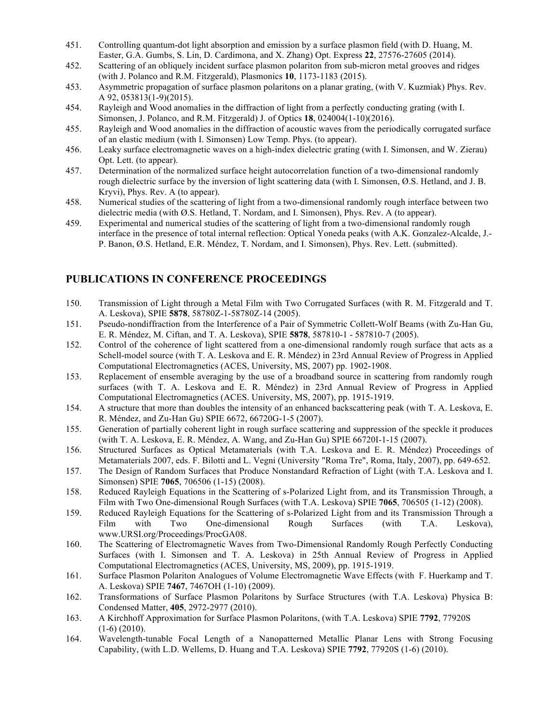- 451. Controlling quantum-dot light absorption and emission by a surface plasmon field (with D. Huang, M. Easter, G.A. Gumbs, S. Lin, D. Cardimona, and X. Zhang) Opt. Express **22**, 27576-27605 (2014).
- 452. Scattering of an obliquely incident surface plasmon polariton from sub-micron metal grooves and ridges (with J. Polanco and R.M. Fitzgerald), Plasmonics **10**, 1173-1183 (2015).
- 453. Asymmetric propagation of surface plasmon polaritons on a planar grating, (with V. Kuzmiak) Phys. Rev. A 92, 053813(1-9)(2015).
- 454. Rayleigh and Wood anomalies in the diffraction of light from a perfectly conducting grating (with I. Simonsen, J. Polanco, and R.M. Fitzgerald) J. of Optics **18**, 024004(1-10)(2016).
- 455. Rayleigh and Wood anomalies in the diffraction of acoustic waves from the periodically corrugated surface of an elastic medium (with I. Simonsen) Low Temp. Phys. (to appear).
- 456. Leaky surface electromagnetic waves on a high-index dielectric grating (with I. Simonsen, and W. Zierau) Opt. Lett. (to appear).
- 457. Determination of the normalized surface height autocorrelation function of a two-dimensional randomly rough dielectric surface by the inversion of light scattering data (with I. Simonsen, Ø.S. Hetland, and J. B. Kryvi), Phys. Rev. A (to appear).
- 458. Numerical studies of the scattering of light from a two-dimensional randomly rough interface between two dielectric media (with Ø.S. Hetland, T. Nordam, and I. Simonsen), Phys. Rev. A (to appear).
- 459. Experimental and numerical studies of the scattering of light from a two-dimensional randomly rough interface in the presence of total internal reflection: Optical Yoneda peaks (with A.K. Gonzalez-Alcalde, J.- P. Banon, Ø.S. Hetland, E.R. Méndez, T. Nordam, and I. Simonsen), Phys. Rev. Lett. (submitted).

## **PUBLICATIONS IN CONFERENCE PROCEEDINGS**

- 150. Transmission of Light through a Metal Film with Two Corrugated Surfaces (with R. M. Fitzgerald and T. A. Leskova), SPIE **5878**, 58780Z-1-58780Z-14 (2005).
- 151. Pseudo-nondiffraction from the Interference of a Pair of Symmetric Collett-Wolf Beams (with Zu-Han Gu, E. R. Méndez, M. Ciftan, and T. A. Leskova), SPIE **5878**, 587810-1 - 587810-7 (2005).
- 152. Control of the coherence of light scattered from a one-dimensional randomly rough surface that acts as a Schell-model source (with T. A. Leskova and E. R. Méndez) in 23rd Annual Review of Progress in Applied Computational Electromagnetics (ACES, University, MS, 2007) pp. 1902-1908.
- 153. Replacement of ensemble averaging by the use of a broadband source in scattering from randomly rough surfaces (with T. A. Leskova and E. R. Méndez) in 23rd Annual Review of Progress in Applied Computational Electromagnetics (ACES. University, MS, 2007), pp. 1915-1919.
- 154. A structure that more than doubles the intensity of an enhanced backscattering peak (with T. A. Leskova, E. R. Méndez, and Zu-Han Gu) SPIE 6672, 66720G-1-5 (2007).
- 155. Generation of partially coherent light in rough surface scattering and suppression of the speckle it produces (with T. A. Leskova, E. R. Méndez, A. Wang, and Zu-Han Gu) SPIE 66720I-1-15 (2007).
- 156. Structured Surfaces as Optical Metamaterials (with T.A. Leskova and E. R. Méndez) Proceedings of Metamaterials 2007, eds. F. Bilotti and L. Vegni (University "Roma Tre", Roma, Italy, 2007), pp. 649-652.
- 157. The Design of Random Surfaces that Produce Nonstandard Refraction of Light (with T.A. Leskova and I. Simonsen) SPIE **7065**, 706506 (1-15) (2008).
- 158. Reduced Rayleigh Equations in the Scattering of s-Polarized Light from, and its Transmission Through, a Film with Two One-dimensional Rough Surfaces (with T.A. Leskova) SPIE **7065**, 706505 (1-12) (2008).
- 159. Reduced Rayleigh Equations for the Scattering of s-Polarized Light from and its Transmission Through a Film with Two One-dimensional Rough Surfaces (with T.A. Leskova), www.URSI.org/Proceedings/ProcGA08.
- 160. The Scattering of Electromagnetic Waves from Two-Dimensional Randomly Rough Perfectly Conducting Surfaces (with I. Simonsen and T. A. Leskova) in 25th Annual Review of Progress in Applied Computational Electromagnetics (ACES, University, MS, 2009), pp. 1915-1919.
- 161. Surface Plasmon Polariton Analogues of Volume Electromagnetic Wave Effects (with F. Huerkamp and T. A. Leskova) SPIE **7467**, 7467OH (1-10) (2009).
- 162. Transformations of Surface Plasmon Polaritons by Surface Structures (with T.A. Leskova) Physica B: Condensed Matter, **405**, 2972-2977 (2010).
- 163. A Kirchhoff Approximation for Surface Plasmon Polaritons, (with T.A. Leskova) SPIE **7792**, 77920S  $(1-6)$   $(2010)$ .
- 164. Wavelength-tunable Focal Length of a Nanopatterned Metallic Planar Lens with Strong Focusing Capability, (with L.D. Wellems, D. Huang and T.A. Leskova) SPIE **7792**, 77920S (1-6) (2010).